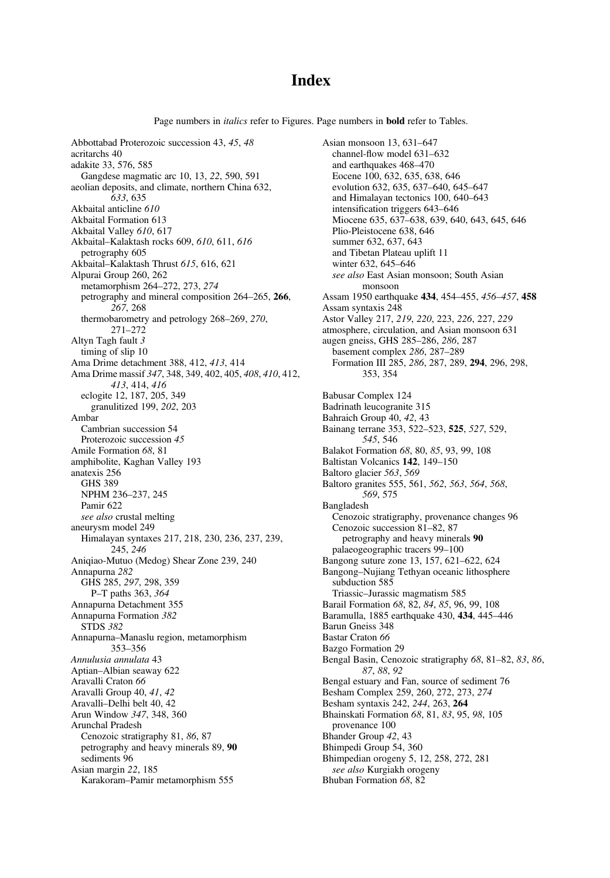# **Index**

Page numbers in *italics* refer to Figures. Page numbers in **bold** refer to Tables.

Abbottabad Proterozoic succession 43, 45, 48 acritarchs 40 adakite 33, 576, 585 Gangdese magmatic arc 10, 13, 22, 590, 591 aeolian deposits, and climate, northern China 632, 633, 635 Akbaital anticline 610 Akbaital Formation 613 Akbaital Valley 610, 617 Akbaital–Kalaktash rocks 609, 610, 611, 616 petrography 605 Akbaital–Kalaktash Thrust 615, 616, 621 Alpurai Group 260, 262 metamorphism 264–272, 273, 274 petrography and mineral composition 264–265, 266, 267, 268 thermobarometry and petrology 268–269, 270, 271–272 Altyn Tagh fault 3 timing of slip 10 Ama Drime detachment 388, 412, 413, 414 Ama Drime massif 347, 348, 349, 402, 405, 408, 410, 412, 413, 414, 416 eclogite 12, 187, 205, 349 granulitized 199, 202, 203 Ambar Cambrian succession 54 Proterozoic succession 45 Amile Formation 68, 81 amphibolite, Kaghan Valley 193 anatexis 256 GHS 389 NPHM 236–237, 245 Pamir 622 see also crustal melting aneurysm model 249 Himalayan syntaxes 217, 218, 230, 236, 237, 239, 245, 246 Aniqiao-Mutuo (Medog) Shear Zone 239, 240 Annapurna 282 GHS 285, 297, 298, 359 P–T paths 363, 364 Annapurna Detachment 355 Annapurna Formation 382 STDS 382 Annapurna–Manaslu region, metamorphism 353–356 Annulusia annulata 43 Aptian–Albian seaway 622 Aravalli Craton 66 Aravalli Group 40, 41, 42 Aravalli–Delhi belt 40, 42 Arun Window 347, 348, 360 Arunchal Pradesh Cenozoic stratigraphy 81, 86, 87 petrography and heavy minerals 89, 90 sediments 96 Asian margin 22, 185 Karakoram–Pamir metamorphism 555

Asian monsoon 13, 631–647 channel-flow model 631–632 and earthquakes 468–470 Eocene 100, 632, 635, 638, 646 evolution 632, 635, 637–640, 645–647 and Himalayan tectonics 100, 640–643 intensification triggers 643–646 Miocene 635, 637–638, 639, 640, 643, 645, 646 Plio-Pleistocene 638, 646 summer 632, 637, 643 and Tibetan Plateau uplift 11 winter 632, 645–646 see also East Asian monsoon; South Asian monsoon Assam 1950 earthquake 434, 454–455, 456–457, 458 Assam syntaxis 248 Astor Valley 217, 219, 220, 223, 226, 227, 229 atmosphere, circulation, and Asian monsoon 631 augen gneiss, GHS 285–286, 286, 287 basement complex 286, 287–289 Formation III 285, 286, 287, 289, 294, 296, 298, 353, 354 Babusar Complex 124 Badrinath leucogranite 315 Bahraich Group 40, 42, 43 Bainang terrane 353, 522–523, 525, 527, 529, 545, 546 Balakot Formation 68, 80, 85, 93, 99, 108 Baltistan Volcanics 142, 149–150 Baltoro glacier 563, 569 Baltoro granites 555, 561, 562, 563, 564, 568, 569, 575 Bangladesh Cenozoic stratigraphy, provenance changes 96 Cenozoic succession 81–82, 87 petrography and heavy minerals 90 palaeogeographic tracers 99–100 Bangong suture zone 13, 157, 621–622, 624 Bangong–Nujiang Tethyan oceanic lithosphere subduction 585 Triassic–Jurassic magmatism 585 Barail Formation 68, 82, 84, 85, 96, 99, 108 Baramulla, 1885 earthquake 430, 434, 445–446 Barun Gneiss 348 Bastar Craton 66 Bazgo Formation 29 Bengal Basin, Cenozoic stratigraphy 68, 81–82, 83, 86, 87, 88, 92 Bengal estuary and Fan, source of sediment 76 Besham Complex 259, 260, 272, 273, 274 Besham syntaxis 242, 244, 263, 264 Bhainskati Formation 68, 81, 83, 95, 98, 105 provenance 100 Bhander Group 42, 43 Bhimpedi Group 54, 360 Bhimpedian orogeny 5, 12, 258, 272, 281 see also Kurgiakh orogeny Bhuban Formation 68, 82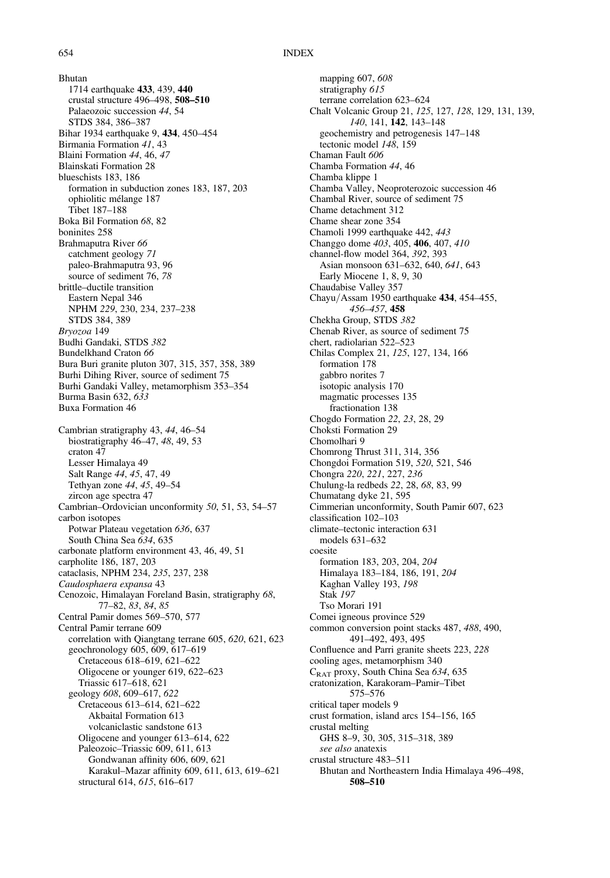Bhutan 1714 earthquake 433, 439, 440 crustal structure 496–498, 508–510 Palaeozoic succession 44, 54 STDS 384, 386–387 Bihar 1934 earthquake 9, 434, 450–454 Birmania Formation 41, 43 Blaini Formation 44, 46, 47 Blainskati Formation 28 blueschists 183, 186 formation in subduction zones 183, 187, 203 ophiolitic mélange 187 Tibet 187–188 Boka Bil Formation 68, 82 boninites 258 Brahmaputra River 66 catchment geology 71 paleo-Brahmaputra 93, 96 source of sediment 76, 78 brittle–ductile transition Eastern Nepal 346 NPHM 229, 230, 234, 237–238 STDS 384, 389 Bryozoa 149 Budhi Gandaki, STDS 382 Bundelkhand Craton 66 Bura Buri granite pluton 307, 315, 357, 358, 389 Burhi Dihing River, source of sediment 75 Burhi Gandaki Valley, metamorphism 353–354 Burma Basin 632, 633 Buxa Formation 46 Cambrian stratigraphy 43, 44, 46–54 biostratigraphy 46–47, 48, 49, 53 craton 47 Lesser Himalaya 49 Salt Range 44, 45, 47, 49 Tethyan zone 44, 45, 49–54 zircon age spectra 47 Cambrian–Ordovician unconformity 50, 51, 53, 54–57 carbon isotopes Potwar Plateau vegetation 636, 637 South China Sea 634, 635 carbonate platform environment 43, 46, 49, 51 carpholite 186, 187, 203 cataclasis, NPHM 234, 235, 237, 238 Caudosphaera expansa 43 Cenozoic, Himalayan Foreland Basin, stratigraphy 68, 77–82, 83, 84, 85 Central Pamir domes 569–570, 577 Central Pamir terrane 609 correlation with Qiangtang terrane 605, 620, 621, 623 geochronology 605, 609, 617–619 Cretaceous 618–619, 621–622 Oligocene or younger 619, 622–623 Triassic 617–618, 621 geology 608, 609–617, 622 Cretaceous 613–614, 621–622 Akbaital Formation 613 volcaniclastic sandstone 613 Oligocene and younger 613–614, 622 Paleozoic–Triassic 609, 611, 613 Gondwanan affinity 606, 609, 621 Karakul–Mazar affinity 609, 611, 613, 619–621 structural 614, 615, 616–617

mapping 607, 608 stratigraphy 615 terrane correlation 623–624 Chalt Volcanic Group 21, 125, 127, 128, 129, 131, 139, 140, 141, 142, 143–148 geochemistry and petrogenesis 147–148 tectonic model 148, 159 Chaman Fault 606 Chamba Formation 44, 46 Chamba klippe 1 Chamba Valley, Neoproterozoic succession 46 Chambal River, source of sediment 75 Chame detachment 312 Chame shear zone 354 Chamoli 1999 earthquake 442, 443 Changgo dome 403, 405, 406, 407, 410 channel-flow model 364, 392, 393 Asian monsoon 631–632, 640, 641, 643 Early Miocene 1, 8, 9, 30 Chaudabise Valley 357 Chayu/Assam 1950 earthquake 434, 454–455, 456–457, 458 Chekha Group, STDS 382 Chenab River, as source of sediment 75 chert, radiolarian 522–523 Chilas Complex 21, 125, 127, 134, 166 formation 178 gabbro norites 7 isotopic analysis 170 magmatic processes 135 fractionation 138 Chogdo Formation 22, 23, 28, 29 Choksti Formation 29 Chomolhari 9 Chomrong Thrust 311, 314, 356 Chongdoi Formation 519, 520, 521, 546 Chongra 220, 221, 227, 236 Chulung-la redbeds 22, 28, 68, 83, 99 Chumatang dyke 21, 595 Cimmerian unconformity, South Pamir 607, 623 classification 102–103 climate–tectonic interaction 631 models 631–632 coesite formation 183, 203, 204, 204 Himalaya 183–184, 186, 191, 204 Kaghan Valley 193, 198 Stak 197 Tso Morari 191 Comei igneous province 529 common conversion point stacks 487, 488, 490, 491–492, 493, 495 Confluence and Parri granite sheets 223, 228 cooling ages, metamorphism 340 CRAT proxy, South China Sea 634, 635 cratonization, Karakoram–Pamir–Tibet 575–576 critical taper models 9 crust formation, island arcs 154–156, 165 crustal melting GHS 8–9, 30, 305, 315–318, 389 see also anatexis crustal structure 483–511 Bhutan and Northeastern India Himalaya 496–498, 508–510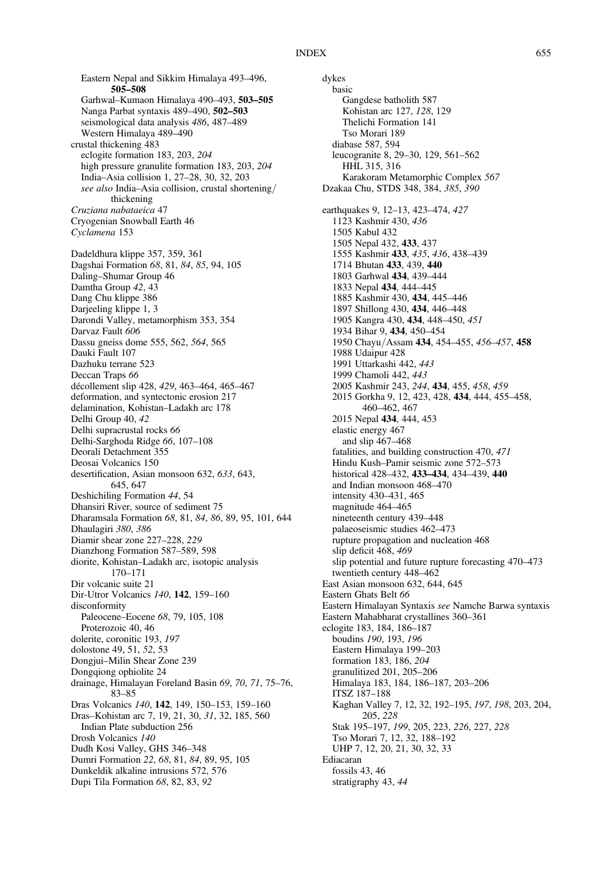Eastern Nepal and Sikkim Himalaya 493–496, 505–508 Garhwal–Kumaon Himalaya 490–493, 503–505 Nanga Parbat syntaxis 489–490, 502–503 seismological data analysis 486, 487–489 Western Himalaya 489–490 crustal thickening 483 eclogite formation 183, 203, 204 high pressure granulite formation 183, 203, 204 India–Asia collision 1, 27–28, 30, 32, 203 see also India–Asia collision, crustal shortening/ thickening Cruziana nabataeica 47 Cryogenian Snowball Earth 46 Cyclamena 153 Dadeldhura klippe 357, 359, 361 Dagshai Formation 68, 81, 84, 85, 94, 105 Daling–Shumar Group 46 Damtha Group 42, 43 Dang Chu klippe 386 Darjeeling klippe 1, 3 Darondi Valley, metamorphism 353, 354 Darvaz Fault 606 Dassu gneiss dome 555, 562, 564, 565 Dauki Fault 107 Dazhuku terrane 523 Deccan Traps 66 décollement slip 428, 429, 463–464, 465–467 deformation, and syntectonic erosion 217 delamination, Kohistan–Ladakh arc 178 Delhi Group 40, 42 Delhi supracrustal rocks 66 Delhi-Sarghoda Ridge 66, 107–108 Deorali Detachment 355 Deosai Volcanics 150 desertification, Asian monsoon 632, 633, 643, 645, 647 Deshichiling Formation 44, 54 Dhansiri River, source of sediment 75 Dharamsala Formation 68, 81, 84, 86, 89, 95, 101, 644 Dhaulagiri 380, 386 Diamir shear zone 227–228, 229 Dianzhong Formation 587–589, 598 diorite, Kohistan–Ladakh arc, isotopic analysis 170–171 Dir volcanic suite 21 Dir-Utror Volcanics 140, 142, 159–160 disconformity Paleocene–Eocene 68, 79, 105, 108 Proterozoic 40, 46 dolerite, coronitic 193, 197 dolostone 49, 51, 52, 53 Dongjui–Milin Shear Zone 239 Dongqiong ophiolite 24 drainage, Himalayan Foreland Basin 69, 70, 71, 75–76, 83–85 Dras Volcanics 140, 142, 149, 150–153, 159–160 Dras–Kohistan arc 7, 19, 21, 30, 31, 32, 185, 560 Indian Plate subduction 256 Drosh Volcanics 140 Dudh Kosi Valley, GHS 346–348 Dumri Formation 22, 68, 81, 84, 89, 95, 105 Dunkeldik alkaline intrusions 572, 576 Dupi Tila Formation 68, 82, 83, 92

dykes basic Gangdese batholith 587 Kohistan arc 127, 128, 129 Thelichi Formation 141 Tso Morari 189 diabase 587, 594 leucogranite 8, 29–30, 129, 561–562 HHL 315, 316 Karakoram Metamorphic Complex 567 Dzakaa Chu, STDS 348, 384, 385, 390 earthquakes 9, 12–13, 423–474, 427 1123 Kashmir 430, 436 1505 Kabul 432 1505 Nepal 432, 433, 437 1555 Kashmir 433, 435, 436, 438–439 1714 Bhutan 433, 439, 440 1803 Garhwal 434, 439–444 1833 Nepal 434, 444–445 1885 Kashmir 430, 434, 445–446 1897 Shillong 430, 434, 446–448 1905 Kangra 430, 434, 448–450, 451 1934 Bihar 9, 434, 450–454 1950 Chayu/Assam 434, 454–455, 456–457, 458 1988 Udaipur 428 1991 Uttarkashi 442, 443 1999 Chamoli 442, 443 2005 Kashmir 243, 244, 434, 455, 458, 459 2015 Gorkha 9, 12, 423, 428, 434, 444, 455–458, 460–462, 467 2015 Nepal 434, 444, 453 elastic energy 467 and slip 467–468 fatalities, and building construction 470, 471 Hindu Kush–Pamir seismic zone 572–573 historical 428–432, 433–434, 434–439, 440 and Indian monsoon 468–470 intensity 430–431, 465 magnitude 464–465 nineteenth century 439–448 palaeoseismic studies 462–473 rupture propagation and nucleation 468 slip deficit 468, 469 slip potential and future rupture forecasting 470–473 twentieth century 448–462 East Asian monsoon 632, 644, 645 Eastern Ghats Belt 66 Eastern Himalayan Syntaxis see Namche Barwa syntaxis Eastern Mahabharat crystallines 360–361 eclogite 183, 184, 186–187 boudins 190, 193, 196 Eastern Himalaya 199–203 formation 183, 186, 204 granulitized 201, 205–206 Himalaya 183, 184, 186–187, 203–206 ITSZ 187–188 Kaghan Valley 7, 12, 32, 192–195, 197, 198, 203, 204, 205, 228 Stak 195–197, 199, 205, 223, 226, 227, 228 Tso Morari 7, 12, 32, 188–192 UHP 7, 12, 20, 21, 30, 32, 33 Ediacaran fossils 43, 46 stratigraphy 43, 44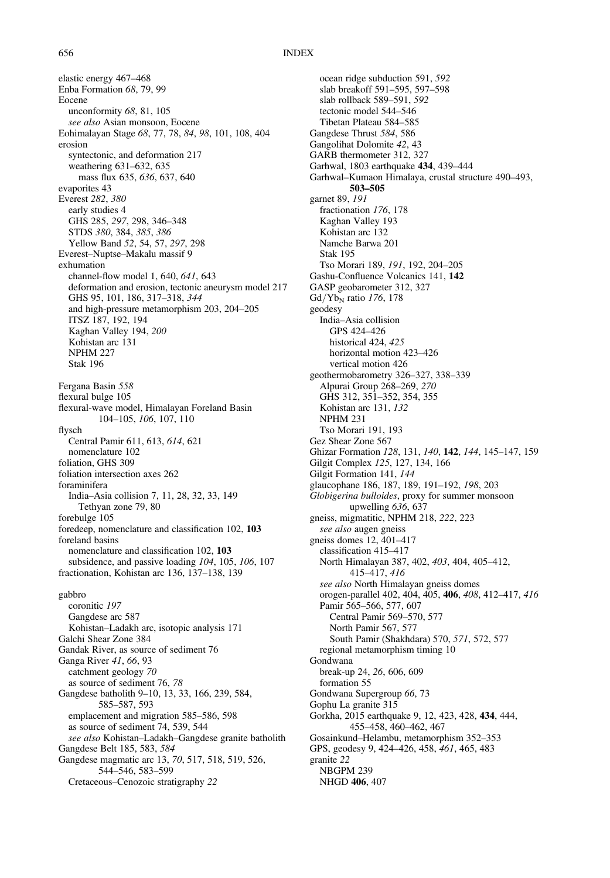elastic energy 467–468 Enba Formation 68, 79, 99 Eocene unconformity 68, 81, 105 see also Asian monsoon, Eocene Eohimalayan Stage 68, 77, 78, 84, 98, 101, 108, 404 erosion syntectonic, and deformation 217 weathering 631–632, 635 mass flux 635, 636, 637, 640 evaporites 43 Everest 282, 380 early studies 4 GHS 285, 297, 298, 346–348 STDS 380, 384, 385, 386 Yellow Band 52, 54, 57, 297, 298 Everest–Nuptse–Makalu massif 9 exhumation channel-flow model 1, 640, 641, 643 deformation and erosion, tectonic aneurysm model 217 GHS 95, 101, 186, 317–318, 344 and high-pressure metamorphism 203, 204–205 ITSZ 187, 192, 194 Kaghan Valley 194, 200 Kohistan arc 131 NPHM 227 Stak 196 Fergana Basin 558 flexural bulge 105 flexural-wave model, Himalayan Foreland Basin 104–105, 106, 107, 110 flysch Central Pamir 611, 613, 614, 621 nomenclature 102 foliation, GHS 309 foliation intersection axes 262 foraminifera India–Asia collision 7, 11, 28, 32, 33, 149 Tethyan zone 79, 80 forebulge 105 foredeep, nomenclature and classification 102, 103 foreland basins nomenclature and classification 102, 103 subsidence, and passive loading 104, 105, 106, 107 fractionation, Kohistan arc 136, 137–138, 139 gabbro coronitic 197 Gangdese arc 587 Kohistan–Ladakh arc, isotopic analysis 171 Galchi Shear Zone 384 Gandak River, as source of sediment 76 Ganga River 41, 66, 93 catchment geology 70 as source of sediment 76, 78 Gangdese batholith 9–10, 13, 33, 166, 239, 584, 585–587, 593 emplacement and migration 585–586, 598 as source of sediment 74, 539, 544 see also Kohistan–Ladakh–Gangdese granite batholith Gangdese Belt 185, 583, 584 Gangdese magmatic arc 13, 70, 517, 518, 519, 526, 544–546, 583–599 Cretaceous–Cenozoic stratigraphy 22

ocean ridge subduction 591, 592 slab breakoff 591–595, 597–598 slab rollback 589–591, 592 tectonic model 544–546 Tibetan Plateau 584–585 Gangdese Thrust 584, 586 Gangolihat Dolomite 42, 43 GARB thermometer 312, 327 Garhwal, 1803 earthquake 434, 439–444 Garhwal–Kumaon Himalaya, crustal structure 490–493, 503–505 garnet 89, 191 fractionation 176, 178 Kaghan Valley 193 Kohistan arc 132 Namche Barwa 201 Stak 195 Tso Morari 189, 191, 192, 204–205 Gashu-Confluence Volcanics 141, 142 GASP geobarometer 312, 327  $Gd/Yb_N$  ratio 176, 178 geodesy India–Asia collision GPS 424–426 historical 424, 425 horizontal motion 423–426 vertical motion 426 geothermobarometry 326–327, 338–339 Alpurai Group 268–269, 270 GHS 312, 351–352, 354, 355 Kohistan arc 131, 132 NPHM 231 Tso Morari 191, 193 Gez Shear Zone 567 Ghizar Formation 128, 131, 140, 142, 144, 145–147, 159 Gilgit Complex 125, 127, 134, 166 Gilgit Formation 141, 144 glaucophane 186, 187, 189, 191–192, 198, 203 Globigerina bulloides, proxy for summer monsoon upwelling 636, 637 gneiss, migmatitic, NPHM 218, 222, 223 see also augen gneiss gneiss domes 12, 401–417 classification 415–417 North Himalayan 387, 402, 403, 404, 405–412, 415–417, 416 see also North Himalayan gneiss domes orogen-parallel 402, 404, 405, 406, 408, 412–417, 416 Pamir 565–566, 577, 607 Central Pamir 569–570, 577 North Pamir 567, 577 South Pamir (Shakhdara) 570, 571, 572, 577 regional metamorphism timing 10 Gondwana break-up 24, 26, 606, 609 formation 55 Gondwana Supergroup 66, 73 Gophu La granite 315 Gorkha, 2015 earthquake 9, 12, 423, 428, 434, 444, 455–458, 460–462, 467 Gosainkund–Helambu, metamorphism 352–353 GPS, geodesy 9, 424–426, 458, 461, 465, 483 granite 22 NBGPM 239 NHGD 406, 407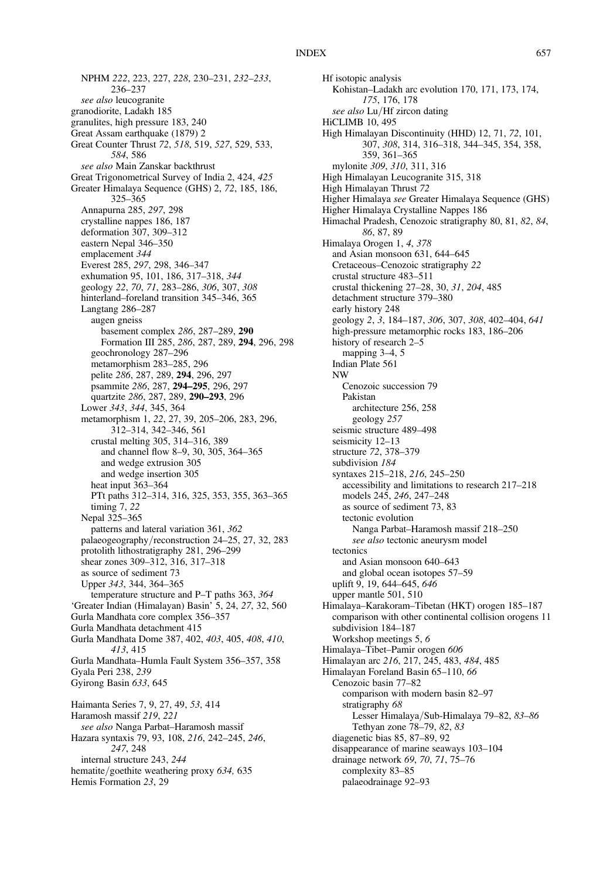NPHM 222, 223, 227, 228, 230–231, 232–233, 236–237 see also leucogranite granodiorite, Ladakh 185 granulites, high pressure 183, 240 Great Assam earthquake (1879) 2 Great Counter Thrust 72, 518, 519, 527, 529, 533, 584, 586 see also Main Zanskar backthrust Great Trigonometrical Survey of India 2, 424, 425 Greater Himalaya Sequence (GHS) 2, 72, 185, 186, 325–365 Annapurna 285, 297, 298 crystalline nappes 186, 187 deformation 307, 309–312 eastern Nepal 346–350 emplacement 344 Everest 285, 297, 298, 346–347 exhumation 95, 101, 186, 317–318, 344 geology 22, 70, 71, 283–286, 306, 307, 308 hinterland–foreland transition 345–346, 365 Langtang 286–287 augen gneiss basement complex 286, 287–289, 290 Formation III 285, 286, 287, 289, 294, 296, 298 geochronology 287–296 metamorphism 283–285, 296 pelite 286, 287, 289, 294, 296, 297 psammite 286, 287, 294–295, 296, 297 quartzite 286, 287, 289, 290–293, 296 Lower 343, 344, 345, 364 metamorphism 1, 22, 27, 39, 205–206, 283, 296, 312–314, 342–346, 561 crustal melting 305, 314–316, 389 and channel flow 8–9, 30, 305, 364–365 and wedge extrusion 305 and wedge insertion 305 heat input 363–364 PTt paths 312–314, 316, 325, 353, 355, 363–365 timing 7, 22 Nepal 325–365 patterns and lateral variation 361, 362 palaeogeography/reconstruction 24–25, 27, 32, 283 protolith lithostratigraphy 281, 296–299 shear zones 309–312, 316, 317–318 as source of sediment 73 Upper 343, 344, 364–365 temperature structure and P–T paths 363, 364 'Greater Indian (Himalayan) Basin' 5, 24, 27, 32, 560 Gurla Mandhata core complex 356–357 Gurla Mandhata detachment 415 Gurla Mandhata Dome 387, 402, 403, 405, 408, 410, 413, 415 Gurla Mandhata–Humla Fault System 356–357, 358 Gyala Peri 238, 239 Gyirong Basin 633, 645 Haimanta Series 7, 9, 27, 49, 53, 414 Haramosh massif 219, 221 see also Nanga Parbat–Haramosh massif Hazara syntaxis 79, 93, 108, 216, 242–245, 246, 247, 248 internal structure 243, 244 hematite/goethite weathering proxy 634, 635

Hemis Formation 23, 29

Hf isotopic analysis Kohistan–Ladakh arc evolution 170, 171, 173, 174, 175, 176, 178 see also Lu/Hf zircon dating HiCLIMB 10, 495 High Himalayan Discontinuity (HHD) 12, 71, 72, 101, 307, 308, 314, 316–318, 344–345, 354, 358, 359, 361–365 mylonite 309, 310, 311, 316 High Himalayan Leucogranite 315, 318 High Himalayan Thrust 72 Higher Himalaya see Greater Himalaya Sequence (GHS) Higher Himalaya Crystalline Nappes 186 Himachal Pradesh, Cenozoic stratigraphy 80, 81, 82, 84, 86, 87, 89 Himalaya Orogen 1, 4, 378 and Asian monsoon 631, 644–645 Cretaceous–Cenozoic stratigraphy 22 crustal structure 483–511 crustal thickening 27–28, 30, 31, 204, 485 detachment structure 379–380 early history 248 geology 2, 3, 184–187, 306, 307, 308, 402–404, 641 high-pressure metamorphic rocks 183, 186–206 history of research 2–5 mapping 3–4, 5 Indian Plate 561 NW Cenozoic succession 79 Pakistan architecture 256, 258 geology 257 seismic structure 489–498 seismicity 12–13 structure 72, 378–379 subdivision 184 syntaxes 215–218, 216, 245–250 accessibility and limitations to research 217–218 models 245, 246, 247–248 as source of sediment 73, 83 tectonic evolution Nanga Parbat–Haramosh massif 218–250 see also tectonic aneurysm model tectonics and Asian monsoon 640–643 and global ocean isotopes 57–59 uplift 9, 19, 644–645, 646 upper mantle 501, 510 Himalaya–Karakoram–Tibetan (HKT) orogen 185–187 comparison with other continental collision orogens 11 subdivision 184–187 Workshop meetings 5, 6 Himalaya–Tibet–Pamir orogen 606 Himalayan arc 216, 217, 245, 483, 484, 485 Himalayan Foreland Basin 65–110, 66 Cenozoic basin 77–82 comparison with modern basin 82–97 stratigraphy 68 Lesser Himalaya/Sub-Himalaya 79–82, 83–86 Tethyan zone 78–79, 82, 83 diagenetic bias 85, 87–89, 92 disappearance of marine seaways 103–104 drainage network 69, 70, 71, 75–76 complexity 83–85 palaeodrainage 92–93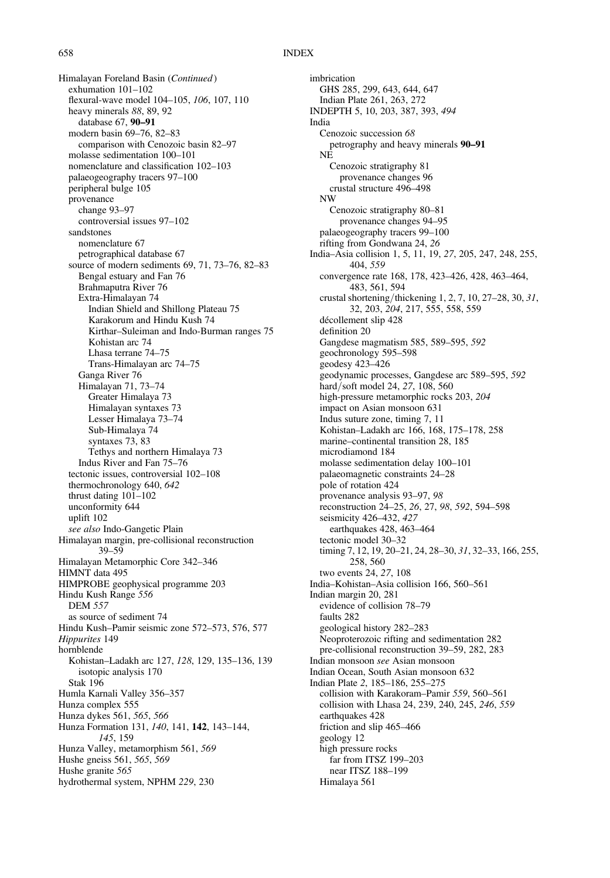Himalayan Foreland Basin (Continued) exhumation 101–102 flexural-wave model 104–105, 106, 107, 110 heavy minerals 88, 89, 92 database 67, 90–91 modern basin 69–76, 82–83 comparison with Cenozoic basin 82–97 molasse sedimentation 100–101 nomenclature and classification 102–103 palaeogeography tracers 97–100 peripheral bulge 105 provenance change 93–97 controversial issues 97–102 sandstones nomenclature 67 petrographical database 67 source of modern sediments 69, 71, 73–76, 82–83 Bengal estuary and Fan 76 Brahmaputra River 76 Extra-Himalayan 74 Indian Shield and Shillong Plateau 75 Karakorum and Hindu Kush 74 Kirthar–Suleiman and Indo-Burman ranges 75 Kohistan arc 74 Lhasa terrane 74–75 Trans-Himalayan arc 74–75 Ganga River 76 Himalayan 71, 73–74 Greater Himalaya 73 Himalayan syntaxes 73 Lesser Himalaya 73–74 Sub-Himalaya 74 syntaxes 73, 83 Tethys and northern Himalaya 73 Indus River and Fan 75–76 tectonic issues, controversial 102–108 thermochronology 640, 642 thrust dating 101–102 unconformity 644 uplift 102 see also Indo-Gangetic Plain Himalayan margin, pre-collisional reconstruction 39–59 Himalayan Metamorphic Core 342–346 HIMNT data 495 HIMPROBE geophysical programme 203 Hindu Kush Range 556 DEM 557 as source of sediment 74 Hindu Kush–Pamir seismic zone 572–573, 576, 577 Hippurites 149 hornblende Kohistan–Ladakh arc 127, 128, 129, 135–136, 139 isotopic analysis 170 Stak 196 Humla Karnali Valley 356–357 Hunza complex 555 Hunza dykes 561, 565, 566 Hunza Formation 131, 140, 141, 142, 143–144, 145, 159 Hunza Valley, metamorphism 561, 569 Hushe gneiss 561, 565, 569 Hushe granite 565 hydrothermal system, NPHM 229, 230

imbrication GHS 285, 299, 643, 644, 647 Indian Plate 261, 263, 272 INDEPTH 5, 10, 203, 387, 393, 494 India Cenozoic succession 68 petrography and heavy minerals 90–91 NE Cenozoic stratigraphy 81 provenance changes 96 crustal structure 496–498 NW Cenozoic stratigraphy 80–81 provenance changes 94–95 palaeogeography tracers 99–100 rifting from Gondwana 24, 26 India–Asia collision 1, 5, 11, 19, 27, 205, 247, 248, 255, 404, 559 convergence rate 168, 178, 423–426, 428, 463–464, 483, 561, 594 crustal shortening/thickening 1, 2, 7, 10, 27–28, 30, 31, 32, 203, 204, 217, 555, 558, 559 décollement slip 428 definition 20 Gangdese magmatism 585, 589–595, 592 geochronology 595–598 geodesy 423–426 geodynamic processes, Gangdese arc 589–595, 592 hard/soft model 24, 27, 108, 560 high-pressure metamorphic rocks 203, 204 impact on Asian monsoon 631 Indus suture zone, timing 7, 11 Kohistan–Ladakh arc 166, 168, 175–178, 258 marine–continental transition 28, 185 microdiamond 184 molasse sedimentation delay 100–101 palaeomagnetic constraints 24–28 pole of rotation 424 provenance analysis 93–97, 98 reconstruction 24–25, 26, 27, 98, 592, 594–598 seismicity 426–432, 427 earthquakes 428, 463–464 tectonic model 30–32 timing 7, 12, 19, 20–21, 24, 28–30, 31, 32–33, 166, 255, 258, 560 two events 24, 27, 108 India–Kohistan–Asia collision 166, 560–561 Indian margin 20, 281 evidence of collision 78–79 faults 282 geological history 282–283 Neoproterozoic rifting and sedimentation 282 pre-collisional reconstruction 39–59, 282, 283 Indian monsoon see Asian monsoon Indian Ocean, South Asian monsoon 632 Indian Plate 2, 185–186, 255–275 collision with Karakoram–Pamir 559, 560–561 collision with Lhasa 24, 239, 240, 245, 246, 559 earthquakes 428 friction and slip 465–466 geology 12 high pressure rocks far from ITSZ 199–203 near ITSZ 188–199 Himalaya 561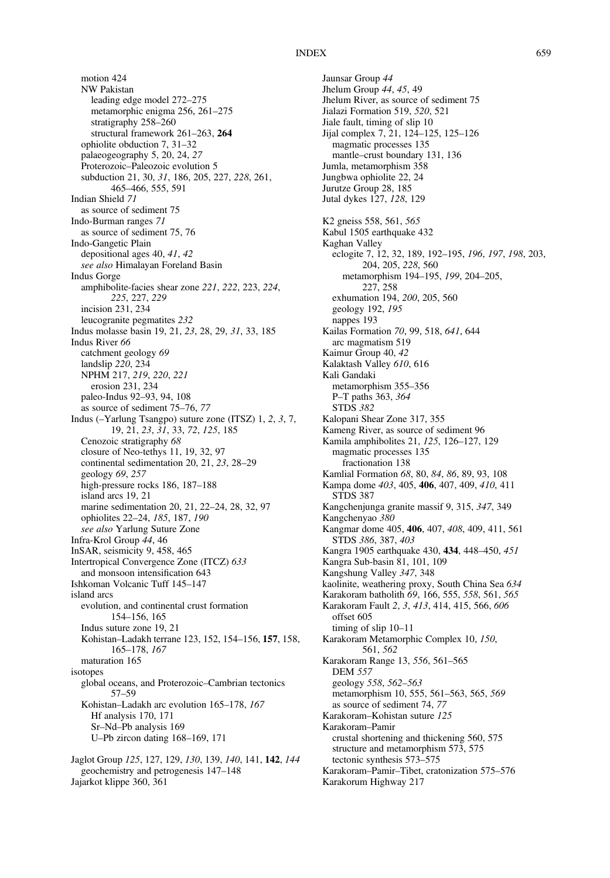motion 424 NW Pakistan leading edge model 272–275 metamorphic enigma 256, 261–275 stratigraphy 258–260 structural framework 261–263, 264 ophiolite obduction 7, 31–32 palaeogeography 5, 20, 24, 27 Proterozoic–Paleozoic evolution 5 subduction 21, 30, 31, 186, 205, 227, 228, 261, 465–466, 555, 591 Indian Shield 71 as source of sediment 75 Indo-Burman ranges 71 as source of sediment 75, 76 Indo-Gangetic Plain depositional ages 40, 41, 42 see also Himalayan Foreland Basin Indus Gorge amphibolite-facies shear zone 221, 222, 223, 224, 225, 227, 229 incision 231, 234 leucogranite pegmatites 232 Indus molasse basin 19, 21, 23, 28, 29, 31, 33, 185 Indus River 66 catchment geology 69 landslip 220, 234 NPHM 217, 219, 220, 221 erosion 231, 234 paleo-Indus 92–93, 94, 108 as source of sediment 75–76, 77 Indus (–Yarlung Tsangpo) suture zone (ITSZ) 1, 2, 3, 7, 19, 21, 23, 31, 33, 72, 125, 185 Cenozoic stratigraphy 68 closure of Neo-tethys 11, 19, 32, 97 continental sedimentation 20, 21, 23, 28–29 geology 69, 257 high-pressure rocks 186, 187–188 island arcs 19, 21 marine sedimentation 20, 21, 22–24, 28, 32, 97 ophiolites 22–24, 185, 187, 190 see also Yarlung Suture Zone Infra-Krol Group 44, 46 InSAR, seismicity 9, 458, 465 Intertropical Convergence Zone (ITCZ) 633 and monsoon intensification 643 Ishkoman Volcanic Tuff 145–147 island arcs evolution, and continental crust formation 154–156, 165 Indus suture zone 19, 21 Kohistan–Ladakh terrane 123, 152, 154–156, 157, 158, 165–178, 167 maturation 165 isotopes global oceans, and Proterozoic–Cambrian tectonics 57–59 Kohistan–Ladakh arc evolution 165–178, 167 Hf analysis 170, 171 Sr–Nd–Pb analysis 169 U–Pb zircon dating 168–169, 171 Jaglot Group 125, 127, 129, 130, 139, 140, 141, 142, 144 geochemistry and petrogenesis 147–148

Jajarkot klippe 360, 361

Jaunsar Group 44 Jhelum Group 44, 45, 49 Jhelum River, as source of sediment 75 Jialazi Formation 519, 520, 521 Jiale fault, timing of slip 10 Jijal complex 7, 21, 124–125, 125–126 magmatic processes 135 mantle–crust boundary 131, 136 Jumla, metamorphism 358 Jungbwa ophiolite 22, 24 Jurutze Group 28, 185 Jutal dykes 127, 128, 129 K2 gneiss 558, 561, 565 Kabul 1505 earthquake 432 Kaghan Valley eclogite 7, 12, 32, 189, 192–195, 196, 197, 198, 203, 204, 205, 228, 560 metamorphism 194–195, 199, 204–205, 227, 258 exhumation 194, 200, 205, 560 geology 192, 195 nappes 193 Kailas Formation 70, 99, 518, 641, 644 arc magmatism 519 Kaimur Group 40, 42 Kalaktash Valley 610, 616 Kali Gandaki metamorphism 355–356 P–T paths 363, 364 STDS 382 Kalopani Shear Zone 317, 355 Kameng River, as source of sediment 96 Kamila amphibolites 21, 125, 126–127, 129 magmatic processes 135 fractionation 138 Kamlial Formation 68, 80, 84, 86, 89, 93, 108 Kampa dome 403, 405, 406, 407, 409, 410, 411 STDS 387 Kangchenjunga granite massif 9, 315, 347, 349 Kangchenyao 380 Kangmar dome 405, 406, 407, 408, 409, 411, 561 STDS 386, 387, 403 Kangra 1905 earthquake 430, 434, 448–450, 451 Kangra Sub-basin 81, 101, 109 Kangshung Valley 347, 348 kaolinite, weathering proxy, South China Sea 634 Karakoram batholith 69, 166, 555, 558, 561, 565 Karakoram Fault 2, 3, 413, 414, 415, 566, 606 offset 605 timing of slip 10–11 Karakoram Metamorphic Complex 10, 150, 561, 562 Karakoram Range 13, 556, 561–565 DEM 557 geology 558, 562–563 metamorphism 10, 555, 561–563, 565, 569 as source of sediment 74, 77 Karakoram–Kohistan suture 125 Karakoram–Pamir crustal shortening and thickening 560, 575 structure and metamorphism 573, 575 tectonic synthesis 573–575 Karakoram–Pamir–Tibet, cratonization 575–576 Karakorum Highway 217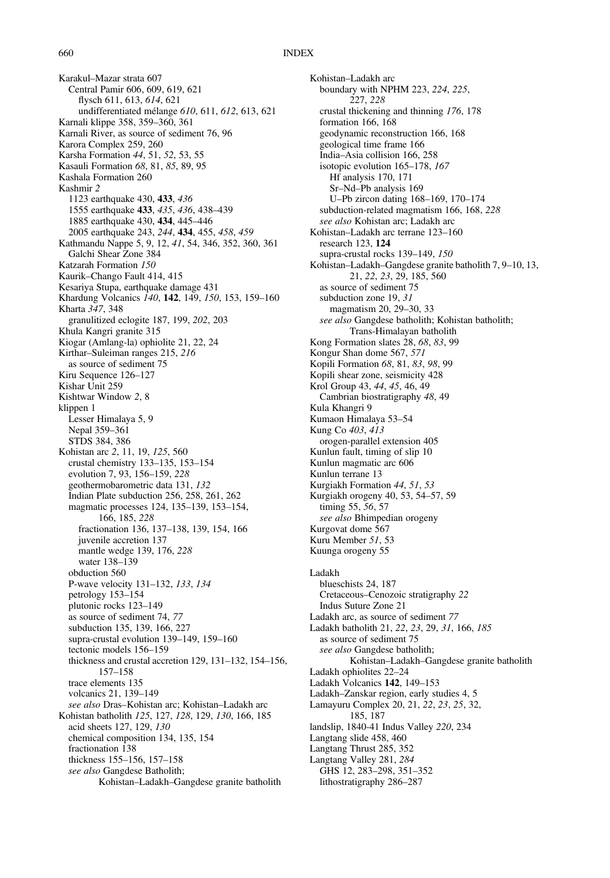Karakul–Mazar strata 607 Central Pamir 606, 609, 619, 621 flysch 611, 613, 614, 621 undifferentiated mélange 610, 611, 612, 613, 621 Karnali klippe 358, 359–360, 361 Karnali River, as source of sediment 76, 96 Karora Complex 259, 260 Karsha Formation 44, 51, 52, 53, 55 Kasauli Formation 68, 81, 85, 89, 95 Kashala Formation 260 Kashmir 2 1123 earthquake 430, 433, 436 1555 earthquake 433, 435, 436, 438–439 1885 earthquake 430, 434, 445–446 2005 earthquake 243, 244, 434, 455, 458, 459 Kathmandu Nappe 5, 9, 12, 41, 54, 346, 352, 360, 361 Galchi Shear Zone 384 Katzarah Formation 150 Kaurik–Chango Fault 414, 415 Kesariya Stupa, earthquake damage 431 Khardung Volcanics 140, 142, 149, 150, 153, 159–160 Kharta 347, 348 granulitized eclogite 187, 199, 202, 203 Khula Kangri granite 315 Kiogar (Amlang-la) ophiolite 21, 22, 24 Kirthar–Suleiman ranges 215, 216 as source of sediment 75 Kiru Sequence 126–127 Kishar Unit 259 Kishtwar Window 2, 8 klippen 1 Lesser Himalaya 5, 9 Nepal 359–361 STDS 384, 386 Kohistan arc 2, 11, 19, 125, 560 crustal chemistry 133–135, 153–154 evolution 7, 93, 156–159, 228 geothermobarometric data 131, 132 Indian Plate subduction 256, 258, 261, 262 magmatic processes 124, 135–139, 153–154, 166, 185, 228 fractionation 136, 137–138, 139, 154, 166 juvenile accretion 137 mantle wedge 139, 176, 228 water 138–139 obduction 560 P-wave velocity 131–132, 133, 134 petrology 153–154 plutonic rocks 123–149 as source of sediment 74, 77 subduction 135, 139, 166, 227 supra-crustal evolution 139–149, 159–160 tectonic models 156–159 thickness and crustal accretion 129, 131–132, 154–156, 157–158 trace elements 135 volcanics 21, 139–149 see also Dras–Kohistan arc; Kohistan–Ladakh arc Kohistan batholith 125, 127, 128, 129, 130, 166, 185 acid sheets 127, 129, 130 chemical composition 134, 135, 154 fractionation 138 thickness 155–156, 157–158 see also Gangdese Batholith; Kohistan–Ladakh–Gangdese granite batholith

Kohistan–Ladakh arc boundary with NPHM 223, 224, 225, 227, 228 crustal thickening and thinning 176, 178 formation 166, 168 geodynamic reconstruction 166, 168 geological time frame 166 India–Asia collision 166, 258 isotopic evolution 165–178, 167 Hf analysis 170, 171 Sr–Nd–Pb analysis 169 U–Pb zircon dating 168–169, 170–174 subduction-related magmatism 166, 168, 228 see also Kohistan arc; Ladakh arc Kohistan–Ladakh arc terrane 123–160 research 123, 124 supra-crustal rocks 139–149, 150 Kohistan–Ladakh–Gangdese granite batholith 7, 9–10, 13, 21, 22, 23, 29, 185, 560 as source of sediment 75 subduction zone 19, 31 magmatism 20, 29–30, 33 see also Gangdese batholith; Kohistan batholith; Trans-Himalayan batholith Kong Formation slates 28, 68, 83, 99 Kongur Shan dome 567, 571 Kopili Formation 68, 81, 83, 98, 99 Kopili shear zone, seismicity 428 Krol Group 43, 44, 45, 46, 49 Cambrian biostratigraphy 48, 49 Kula Khangri 9 Kumaon Himalaya 53–54 Kung Co 403, 413 orogen-parallel extension 405 Kunlun fault, timing of slip 10 Kunlun magmatic arc 606 Kunlun terrane 13 Kurgiakh Formation 44, 51, 53 Kurgiakh orogeny 40, 53, 54–57, 59 timing 55, 56, 57 see also Bhimpedian orogeny Kurgovat dome 567 Kuru Member 51, 53 Kuunga orogeny 55 Ladakh blueschists 24, 187 Cretaceous–Cenozoic stratigraphy 22 Indus Suture Zone 21 Ladakh arc, as source of sediment 77 Ladakh batholith 21, 22, 23, 29, 31, 166, 185 as source of sediment 75 see also Gangdese batholith; Kohistan–Ladakh–Gangdese granite batholith Ladakh ophiolites 22–24 Ladakh Volcanics 142, 149–153 Ladakh–Zanskar region, early studies 4, 5 Lamayuru Complex 20, 21, 22, 23, 25, 32, 185, 187 landslip, 1840-41 Indus Valley 220, 234 Langtang slide 458, 460 Langtang Thrust 285, 352 Langtang Valley 281, 284 GHS 12, 283–298, 351–352 lithostratigraphy 286–287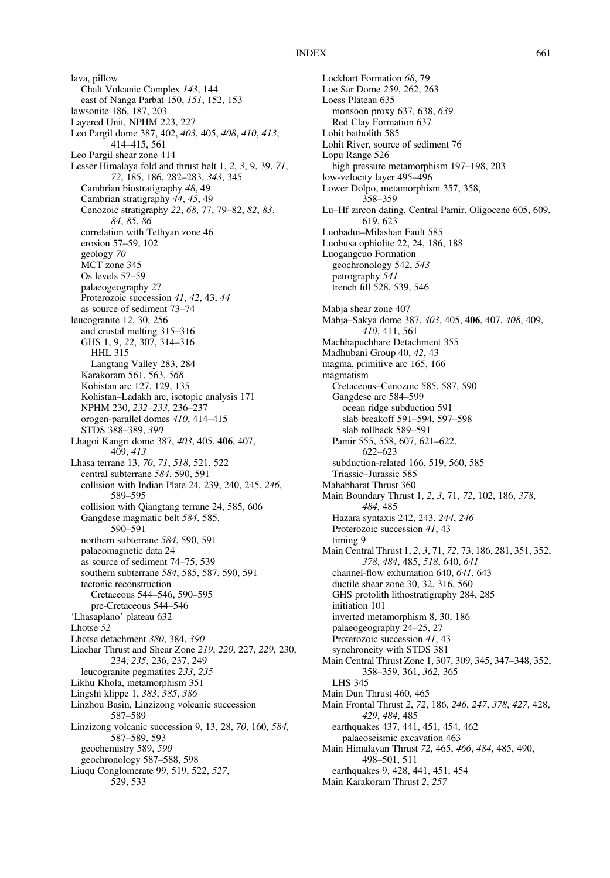lava, pillow Chalt Volcanic Complex 143, 144 east of Nanga Parbat 150, 151, 152, 153 lawsonite 186, 187, 203 Layered Unit, NPHM 223, 227 Leo Pargil dome 387, 402, 403, 405, 408, 410, 413, 414–415, 561 Leo Pargil shear zone 414 Lesser Himalaya fold and thrust belt 1, 2, 3, 9, 39, 71, 72, 185, 186, 282–283, 343, 345 Cambrian biostratigraphy 48, 49 Cambrian stratigraphy 44, 45, 49 Cenozoic stratigraphy 22, 68, 77, 79–82, 82, 83, 84, 85, 86 correlation with Tethyan zone 46 erosion 57–59, 102 geology 70 MCT zone 345 Os levels 57–59 palaeogeography 27 Proterozoic succession 41, 42, 43, 44 as source of sediment 73–74 leucogranite 12, 30, 256 and crustal melting 315–316 GHS 1, 9, 22, 307, 314–316 HHL 315 Langtang Valley 283, 284 Karakoram 561, 563, 568 Kohistan arc 127, 129, 135 Kohistan–Ladakh arc, isotopic analysis 171 NPHM 230, 232–233, 236–237 orogen-parallel domes 410, 414–415 STDS 388–389, 390 Lhagoi Kangri dome 387, 403, 405, 406, 407, 409, 413 Lhasa terrane 13, 70, 71, 518, 521, 522 central subterrane 584, 590, 591 collision with Indian Plate 24, 239, 240, 245, 246, 589–595 collision with Qiangtang terrane 24, 585, 606 Gangdese magmatic belt 584, 585, 590–591 northern subterrane 584, 590, 591 palaeomagnetic data 24 as source of sediment 74–75, 539 southern subterrane 584, 585, 587, 590, 591 tectonic reconstruction Cretaceous 544–546, 590–595 pre-Cretaceous 544–546 'Lhasaplano' plateau 632 Lhotse 52 Lhotse detachment 380, 384, 390 Liachar Thrust and Shear Zone 219, 220, 227, 229, 230, 234, 235, 236, 237, 249 leucogranite pegmatites 233, 235 Likhu Khola, metamorphism 351 Lingshi klippe 1, 383, 385, 386 Linzhou Basin, Linzizong volcanic succession 587–589 Linzizong volcanic succession 9, 13, 28, 70, 160, 584, 587–589, 593 geochemistry 589, 590 geochronology 587–588, 598 Liuqu Conglomerate 99, 519, 522, 527, 529, 533

Lockhart Formation 68, 79 Loe Sar Dome 259, 262, 263 Loess Plateau 635 monsoon proxy 637, 638, 639 Red Clay Formation 637 Lohit batholith 585 Lohit River, source of sediment 76 Lopu Range 526 high pressure metamorphism 197–198, 203 low-velocity layer 495–496 Lower Dolpo, metamorphism 357, 358, 358–359 Lu–Hf zircon dating, Central Pamir, Oligocene 605, 609, 619, 623 Luobadui–Milashan Fault 585 Luobusa ophiolite 22, 24, 186, 188 Luogangcuo Formation geochronology 542, 543 petrography 541 trench fill 528, 539, 546 Mabja shear zone 407 Mabja–Sakya dome 387, 403, 405, 406, 407, 408, 409, 410, 411, 561 Machhapuchhare Detachment 355 Madhubani Group 40, 42, 43 magma, primitive arc 165, 166 magmatism Cretaceous–Cenozoic 585, 587, 590 Gangdese arc 584–599 ocean ridge subduction 591 slab breakoff 591–594, 597–598 slab rollback 589–591 Pamir 555, 558, 607, 621–622, 622–623 subduction-related 166, 519, 560, 585 Triassic–Jurassic 585 Mahabharat Thrust 360 Main Boundary Thrust 1, 2, 3, 71, 72, 102, 186, 378, 484, 485 Hazara syntaxis 242, 243, 244, 246 Proterozoic succession 41, 43 timing 9 Main Central Thrust 1, 2, 3, 71, 72, 73, 186, 281, 351, 352, 378, 484, 485, 518, 640, 641 channel-flow exhumation 640, 641, 643 ductile shear zone 30, 32, 316, 560 GHS protolith lithostratigraphy 284, 285 initiation 101 inverted metamorphism 8, 30, 186 palaeogeography 24–25, 27 Proterozoic succession 41, 43 synchroneity with STDS 381 Main Central Thrust Zone 1, 307, 309, 345, 347–348, 352, 358–359, 361, 362, 365 LHS 345 Main Dun Thrust 460, 465 Main Frontal Thrust 2, 72, 186, 246, 247, 378, 427, 428, 429, 484, 485 earthquakes 437, 441, 451, 454, 462 palaeoseismic excavation 463 Main Himalayan Thrust 72, 465, 466, 484, 485, 490, 498–501, 511 earthquakes 9, 428, 441, 451, 454 Main Karakoram Thrust 2, 257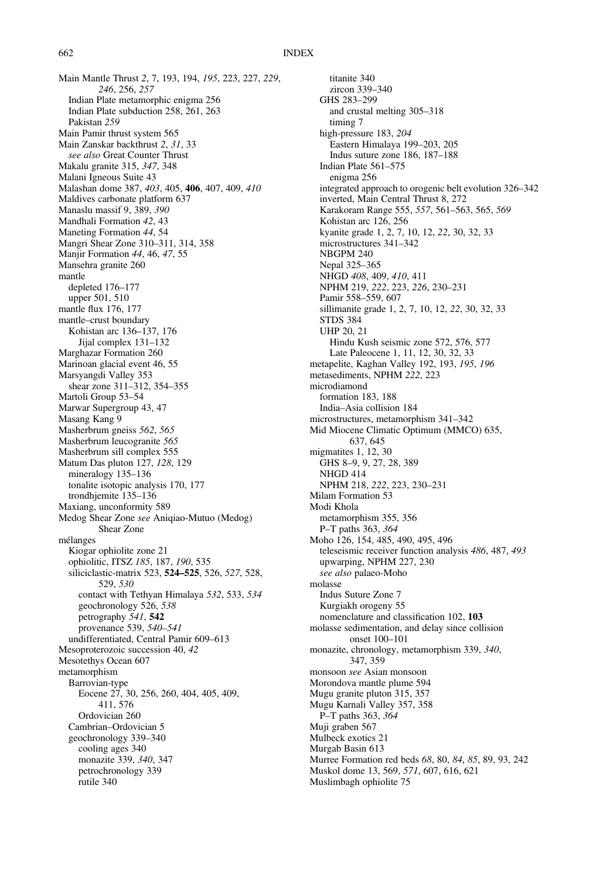Main Mantle Thrust 2, 7, 193, 194, 195, 223, 227, 229, 246, 256, 257 Indian Plate metamorphic enigma 256 Indian Plate subduction 258, 261, 263 Pakistan 259 Main Pamir thrust system 565 Main Zanskar backthrust 2, 31, 33 see also Great Counter Thrust Makalu granite 315, 347, 348 Malani Igneous Suite 43 Malashan dome 387, 403, 405, 406, 407, 409, 410 Maldives carbonate platform 637 Manaslu massif 9, 389, 390 Mandhali Formation 42, 43 Maneting Formation 44, 54 Mangri Shear Zone 310–311, 314, 358 Manjir Formation 44, 46, 47, 55 Mansehra granite 260 mantle depleted 176–177 upper 501, 510 mantle flux 176, 177 mantle–crust boundary Kohistan arc 136–137, 176 Jijal complex 131–132 Marghazar Formation 260 Marinoan glacial event 46, 55 Marsyangdi Valley 353 shear zone 311–312, 354–355 Martoli Group 53–54 Marwar Supergroup 43, 47 Masang Kang 9 Masherbrum gneiss 562, 565 Masherbrum leucogranite 565 Masherbrum sill complex 555 Matum Das pluton 127, 128, 129 mineralogy 135–136 tonalite isotopic analysis 170, 177 trondhjemite 135–136 Maxiang, unconformity 589 Medog Shear Zone see Aniqiao-Mutuo (Medog) Shear Zone mélanges Kiogar ophiolite zone 21 ophiolitic, ITSZ 185, 187, 190, 535 siliciclastic-matrix 523, 524–525, 526, 527, 528, 529, 530 contact with Tethyan Himalaya 532, 533, 534 geochronology 526, 538 petrography 541, 542 provenance 539, 540–541 undifferentiated, Central Pamir 609–613 Mesoproterozoic succession 40, 42 Mesotethys Ocean 607 metamorphism Barrovian-type Eocene 27, 30, 256, 260, 404, 405, 409, 411, 576 Ordovician 260 Cambrian–Ordovician 5 geochronology 339–340 cooling ages 340 monazite 339, 340, 347 petrochronology 339 rutile 340

titanite 340 zircon 339–340 GHS 283–299 and crustal melting 305–318 timing 7 high-pressure 183, 204 Eastern Himalaya 199–203, 205 Indus suture zone 186, 187–188 Indian Plate 561–575 enigma 256 integrated approach to orogenic belt evolution 326–342 inverted, Main Central Thrust 8, 272 Karakoram Range 555, 557, 561–563, 565, 569 Kohistan arc 126, 256 kyanite grade 1, 2, 7, 10, 12, 22, 30, 32, 33 microstructures 341–342 NBGPM 240 Nepal 325–365 NHGD 408, 409, 410, 411 NPHM 219, 222, 223, 226, 230–231 Pamir 558–559, 607 sillimanite grade 1, 2, 7, 10, 12, 22, 30, 32, 33 STDS 384 UHP 20, 21 Hindu Kush seismic zone 572, 576, 577 Late Paleocene 1, 11, 12, 30, 32, 33 metapelite, Kaghan Valley 192, 193, 195, 196 metasediments, NPHM 222, 223 microdiamond formation 183, 188 India–Asia collision 184 microstructures, metamorphism 341–342 Mid Miocene Climatic Optimum (MMCO) 635, 637, 645 migmatites 1, 12, 30 GHS 8–9, 9, 27, 28, 389 NHGD 414 NPHM 218, 222, 223, 230–231 Milam Formation 53 Modi Khola metamorphism 355, 356 P–T paths 363, 364 Moho 126, 154, 485, 490, 495, 496 teleseismic receiver function analysis 486, 487, 493 upwarping, NPHM 227, 230 see also palaeo-Moho molasse Indus Suture Zone 7 Kurgiakh orogeny 55 nomenclature and classification 102, 103 molasse sedimentation, and delay since collision onset 100–101 monazite, chronology, metamorphism 339, 340, 347, 359 monsoon see Asian monsoon Morondova mantle plume 594 Mugu granite pluton 315, 357 Mugu Karnali Valley 357, 358 P–T paths 363, 364 Muji graben 567 Mulbeck exotics 21 Murgab Basin 613 Murree Formation red beds 68, 80, 84, 85, 89, 93, 242 Muskol dome 13, 569, 571, 607, 616, 621 Muslimbagh ophiolite 75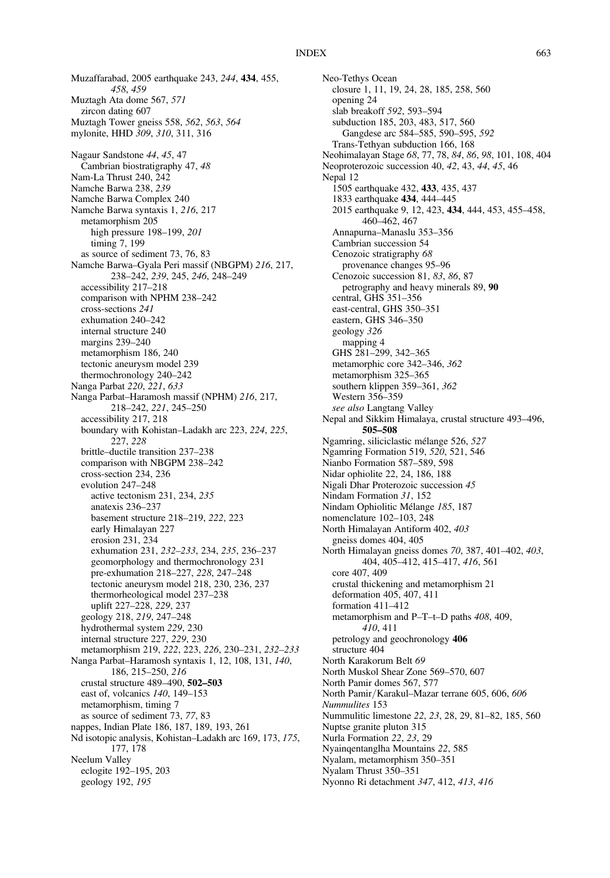Muzaffarabad, 2005 earthquake 243, 244, 434, 455, 458, 459 Muztagh Ata dome 567, 571 zircon dating 607 Muztagh Tower gneiss 558, 562, 563, 564 mylonite, HHD 309, 310, 311, 316 Nagaur Sandstone 44, 45, 47 Cambrian biostratigraphy 47, 48 Nam-La Thrust 240, 242 Namche Barwa 238, 239 Namche Barwa Complex 240 Namche Barwa syntaxis 1, 216, 217 metamorphism 205 high pressure 198–199, 201 timing 7, 199 as source of sediment 73, 76, 83 Namche Barwa–Gyala Peri massif (NBGPM) 216, 217, 238–242, 239, 245, 246, 248–249 accessibility 217–218 comparison with NPHM 238–242 cross-sections 241 exhumation 240–242 internal structure 240 margins 239–240 metamorphism 186, 240 tectonic aneurysm model 239 thermochronology 240–242 Nanga Parbat 220, 221, 633 Nanga Parbat–Haramosh massif (NPHM) 216, 217, 218–242, 221, 245–250 accessibility 217, 218 boundary with Kohistan–Ladakh arc 223, 224, 225, 227, 228 brittle–ductile transition 237–238 comparison with NBGPM 238–242 cross-section 234, 236 evolution 247–248 active tectonism 231, 234, 235 anatexis 236–237 basement structure 218–219, 222, 223 early Himalayan 227 erosion 231, 234 exhumation 231, 232–233, 234, 235, 236–237 geomorphology and thermochronology 231 pre-exhumation 218–227, 228, 247–248 tectonic aneurysm model 218, 230, 236, 237 thermorheological model 237–238 uplift 227–228, 229, 237 geology 218, 219, 247–248 hydrothermal system 229, 230 internal structure 227, 229, 230 metamorphism 219, 222, 223, 226, 230–231, 232–233 Nanga Parbat–Haramosh syntaxis 1, 12, 108, 131, 140, 186, 215–250, 216 crustal structure 489–490, 502–503 east of, volcanics 140, 149–153 metamorphism, timing 7 as source of sediment 73, 77, 83 nappes, Indian Plate 186, 187, 189, 193, 261 Nd isotopic analysis, Kohistan–Ladakh arc 169, 173, 175, 177, 178 Neelum Valley eclogite 192–195, 203 geology 192, 195

Neo-Tethys Ocean closure 1, 11, 19, 24, 28, 185, 258, 560 opening 24 slab breakoff 592, 593–594 subduction 185, 203, 483, 517, 560 Gangdese arc 584–585, 590–595, 592 Trans-Tethyan subduction 166, 168 Neohimalayan Stage 68, 77, 78, 84, 86, 98, 101, 108, 404 Neoproterozoic succession 40, 42, 43, 44, 45, 46 Nepal 12 1505 earthquake 432, 433, 435, 437 1833 earthquake 434, 444–445 2015 earthquake 9, 12, 423, 434, 444, 453, 455–458, 460–462, 467 Annapurna–Manaslu 353–356 Cambrian succession 54 Cenozoic stratigraphy 68 provenance changes 95–96 Cenozoic succession 81, 83, 86, 87 petrography and heavy minerals 89, 90 central, GHS 351–356 east-central, GHS 350–351 eastern, GHS 346–350 geology 326 mapping 4 GHS 281–299, 342–365 metamorphic core 342–346, 362 metamorphism 325–365 southern klippen 359–361, 362 Western 356–359 see also Langtang Valley Nepal and Sikkim Himalaya, crustal structure 493–496, 505–508 Ngamring, siliciclastic mélange 526, 527 Ngamring Formation 519, 520, 521, 546 Nianbo Formation 587–589, 598 Nidar ophiolite 22, 24, 186, 188 Nigali Dhar Proterozoic succession 45 Nindam Formation 31, 152 Nindam Ophiolitic Mélange 185, 187 nomenclature 102–103, 248 North Himalayan Antiform 402, 403 gneiss domes 404, 405 North Himalayan gneiss domes 70, 387, 401–402, 403, 404, 405–412, 415–417, 416, 561 core 407, 409 crustal thickening and metamorphism 21 deformation 405, 407, 411 formation 411–412 metamorphism and P–T–t–D paths 408, 409, 410, 411 petrology and geochronology 406 structure 404 North Karakorum Belt 69 North Muskol Shear Zone 569–570, 607 North Pamir domes 567, 577 North Pamir/Karakul–Mazar terrane 605, 606, 606 Nummulites 153 Nummulitic limestone 22, 23, 28, 29, 81–82, 185, 560 Nuptse granite pluton 315 Nurla Formation 22, 23, 29 Nyainqentanglha Mountains 22, 585 Nyalam, metamorphism 350–351 Nyalam Thrust 350–351 Nyonno Ri detachment 347, 412, 413, 416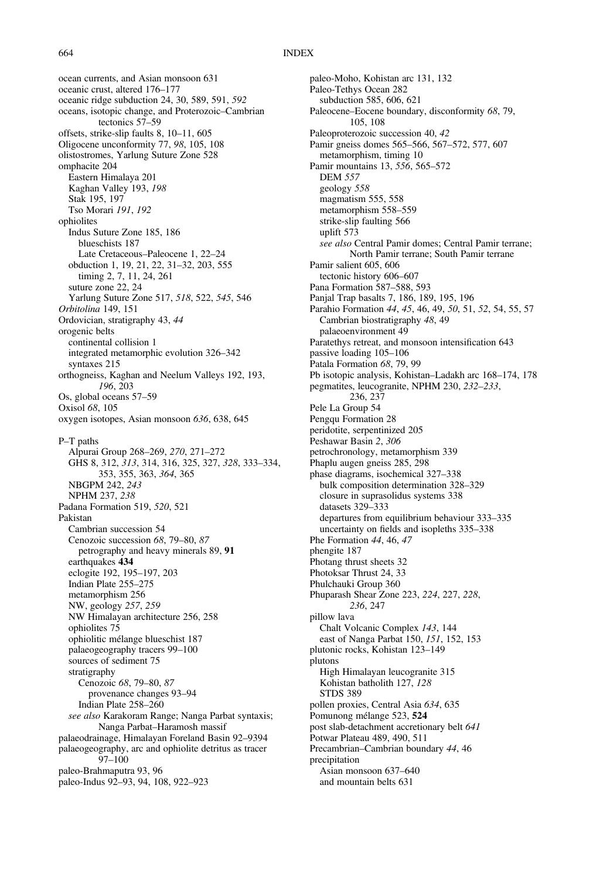ocean currents, and Asian monsoon 631 oceanic crust, altered 176–177 oceanic ridge subduction 24, 30, 589, 591, 592 oceans, isotopic change, and Proterozoic–Cambrian tectonics 57–59 offsets, strike-slip faults 8, 10–11, 605 Oligocene unconformity 77, 98, 105, 108 olistostromes, Yarlung Suture Zone 528 omphacite 204 Eastern Himalaya 201 Kaghan Valley 193, 198 Stak 195, 197 Tso Morari 191, 192 ophiolites Indus Suture Zone 185, 186 blueschists 187 Late Cretaceous–Paleocene 1, 22–24 obduction 1, 19, 21, 22, 31–32, 203, 555 timing 2, 7, 11, 24, 261 suture zone 22, 24 Yarlung Suture Zone 517, 518, 522, 545, 546 Orbitolina 149, 151 Ordovician, stratigraphy 43, 44 orogenic belts continental collision 1 integrated metamorphic evolution 326–342 syntaxes 215 orthogneiss, Kaghan and Neelum Valleys 192, 193, 196, 203 Os, global oceans 57–59 Oxisol 68, 105 oxygen isotopes, Asian monsoon 636, 638, 645 P–T paths Alpurai Group 268–269, 270, 271–272 GHS 8, 312, 313, 314, 316, 325, 327, 328, 333–334, 353, 355, 363, 364, 365 NBGPM 242, 243 NPHM 237, 238 Padana Formation 519, 520, 521 Pakistan Cambrian succession 54 Cenozoic succession 68, 79–80, 87 petrography and heavy minerals 89, 91 earthquakes 434 eclogite 192, 195–197, 203 Indian Plate 255–275 metamorphism 256 NW, geology 257, 259 NW Himalayan architecture 256, 258 ophiolites 75 ophiolitic mélange blueschist 187 palaeogeography tracers 99–100 sources of sediment 75 stratigraphy Cenozoic 68, 79–80, 87 provenance changes 93–94 Indian Plate 258–260 see also Karakoram Range; Nanga Parbat syntaxis; Nanga Parbat–Haramosh massif palaeodrainage, Himalayan Foreland Basin 92–9394 palaeogeography, arc and ophiolite detritus as tracer 97–100 paleo-Brahmaputra 93, 96 paleo-Indus 92–93, 94, 108, 922–923

paleo-Moho, Kohistan arc 131, 132 Paleo-Tethys Ocean 282 subduction 585, 606, 621 Paleocene–Eocene boundary, disconformity 68, 79, 105, 108 Paleoproterozoic succession 40, 42 Pamir gneiss domes 565–566, 567–572, 577, 607 metamorphism, timing 10 Pamir mountains 13, 556, 565–572 DEM 557 geology 558 magmatism 555, 558 metamorphism 558–559 strike-slip faulting 566 uplift 573 see also Central Pamir domes; Central Pamir terrane; North Pamir terrane; South Pamir terrane Pamir salient 605, 606 tectonic history 606–607 Pana Formation 587–588, 593 Panjal Trap basalts 7, 186, 189, 195, 196 Parahio Formation 44, 45, 46, 49, 50, 51, 52, 54, 55, 57 Cambrian biostratigraphy 48, 49 palaeoenvironment 49 Paratethys retreat, and monsoon intensification 643 passive loading 105–106 Patala Formation 68, 79, 99 Pb isotopic analysis, Kohistan–Ladakh arc 168–174, 178 pegmatites, leucogranite, NPHM 230, 232–233, 236, 237 Pele La Group 54 Pengqu Formation 28 peridotite, serpentinized 205 Peshawar Basin 2, 306 petrochronology, metamorphism 339 Phaplu augen gneiss 285, 298 phase diagrams, isochemical 327–338 bulk composition determination 328–329 closure in suprasolidus systems 338 datasets 329–333 departures from equilibrium behaviour 333–335 uncertainty on fields and isopleths 335–338 Phe Formation 44, 46, 47 phengite 187 Photang thrust sheets 32 Photoksar Thrust 24, 33 Phulchauki Group 360 Phuparash Shear Zone 223, 224, 227, 228, 236, 247 pillow lava Chalt Volcanic Complex 143, 144 east of Nanga Parbat 150, 151, 152, 153 plutonic rocks, Kohistan 123–149 plutons High Himalayan leucogranite 315 Kohistan batholith 127, 128 STDS 389 pollen proxies, Central Asia 634, 635 Pomunong mélange 523, 524 post slab-detachment accretionary belt 641 Potwar Plateau 489, 490, 511 Precambrian–Cambrian boundary 44, 46 precipitation Asian monsoon 637–640 and mountain belts 631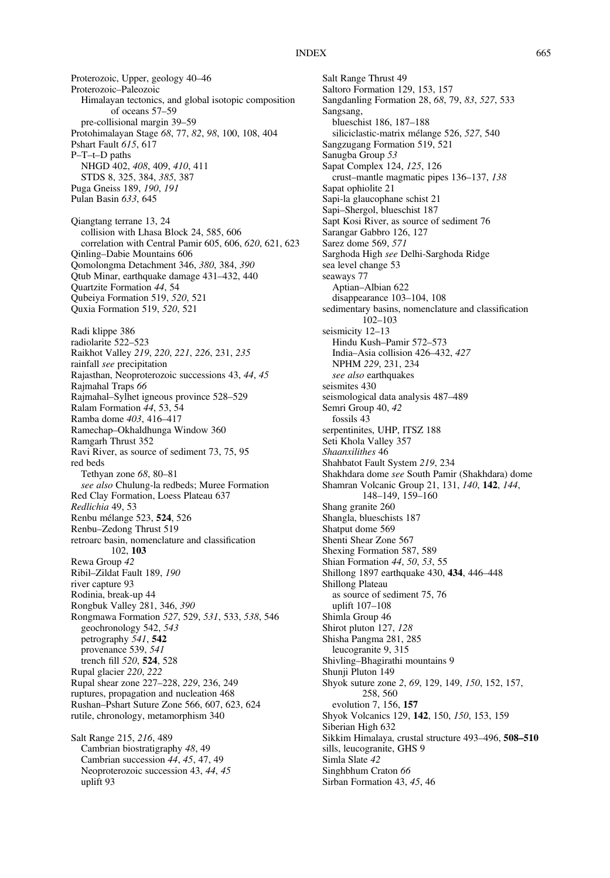Proterozoic, Upper, geology 40–46 Proterozoic–Paleozoic Himalayan tectonics, and global isotopic composition of oceans 57–59 pre-collisional margin 39–59 Protohimalayan Stage 68, 77, 82, 98, 100, 108, 404 Pshart Fault 615, 617 P–T–t–D paths NHGD 402, 408, 409, 410, 411 STDS 8, 325, 384, 385, 387 Puga Gneiss 189, 190, 191 Pulan Basin 633, 645 Qiangtang terrane 13, 24 collision with Lhasa Block 24, 585, 606 correlation with Central Pamir 605, 606, 620, 621, 623 Qinling–Dabie Mountains 606 Qomolongma Detachment 346, 380, 384, 390 Qtub Minar, earthquake damage 431–432, 440 Quartzite Formation 44, 54 Qubeiya Formation 519, 520, 521 Quxia Formation 519, 520, 521 Radi klippe 386 radiolarite 522–523 Raikhot Valley 219, 220, 221, 226, 231, 235 rainfall see precipitation Rajasthan, Neoproterozoic successions 43, 44, 45 Rajmahal Traps 66 Rajmahal–Sylhet igneous province 528–529 Ralam Formation 44, 53, 54 Ramba dome 403, 416–417 Ramechap–Okhaldhunga Window 360 Ramgarh Thrust 352 Ravi River, as source of sediment 73, 75, 95 red beds Tethyan zone 68, 80–81 see also Chulung-la redbeds; Muree Formation Red Clay Formation, Loess Plateau 637 Redlichia 49, 53 Renbu mélange 523, 524, 526 Renbu–Zedong Thrust 519 retroarc basin, nomenclature and classification 102, 103 Rewa Group 42 Ribil–Zildat Fault 189, 190 river capture 93 Rodinia, break-up 44 Rongbuk Valley 281, 346, 390 Rongmawa Formation 527, 529, 531, 533, 538, 546 geochronology 542, 543 petrography 541, 542 provenance 539, 541 trench fill 520, 524, 528 Rupal glacier 220, 222 Rupal shear zone 227–228, 229, 236, 249 ruptures, propagation and nucleation 468 Rushan–Pshart Suture Zone 566, 607, 623, 624 rutile, chronology, metamorphism 340 Salt Range 215, 216, 489 Cambrian biostratigraphy 48, 49 Cambrian succession 44, 45, 47, 49

Neoproterozoic succession 43, 44, 45

uplift 93

Salt Range Thrust 49 Saltoro Formation 129, 153, 157 Sangdanling Formation 28, 68, 79, 83, 527, 533 Sangsang, blueschist 186, 187–188 siliciclastic-matrix mélange 526, 527, 540 Sangzugang Formation 519, 521 Sanugba Group 53 Sapat Complex 124, 125, 126 crust–mantle magmatic pipes 136–137, 138 Sapat ophiolite 21 Sapi-la glaucophane schist 21 Sapi–Shergol, blueschist 187 Sapt Kosi River, as source of sediment 76 Sarangar Gabbro 126, 127 Sarez dome 569, 571 Sarghoda High see Delhi-Sarghoda Ridge sea level change 53 seaways 77 Aptian–Albian 622 disappearance 103–104, 108 sedimentary basins, nomenclature and classification 102–103 seismicity 12–13 Hindu Kush–Pamir 572–573 India–Asia collision 426–432, 427 NPHM 229, 231, 234 see also earthquakes seismites 430 seismological data analysis 487–489 Semri Group 40, 42 fossils 43 serpentinites, UHP, ITSZ 188 Seti Khola Valley 357 Shaanxilithes 46 Shahbatot Fault System 219, 234 Shakhdara dome see South Pamir (Shakhdara) dome Shamran Volcanic Group 21, 131, 140, 142, 144, 148–149, 159–160 Shang granite 260 Shangla, blueschists 187 Shatput dome 569 Shenti Shear Zone 567 Shexing Formation 587, 589 Shian Formation 44, 50, 53, 55 Shillong 1897 earthquake 430, 434, 446–448 Shillong Plateau as source of sediment 75, 76 uplift 107–108 Shimla Group 46 Shirot pluton 127, 128 Shisha Pangma 281, 285 leucogranite 9, 315 Shivling–Bhagirathi mountains 9 Shunji Pluton 149 Shyok suture zone 2, 69, 129, 149, 150, 152, 157, 258, 560 evolution 7, 156, 157 Shyok Volcanics 129, 142, 150, 150, 153, 159 Siberian High 632 Sikkim Himalaya, crustal structure 493–496, 508–510 sills, leucogranite, GHS 9 Simla Slate 42 Singhbhum Craton 66 Sirban Formation 43, 45, 46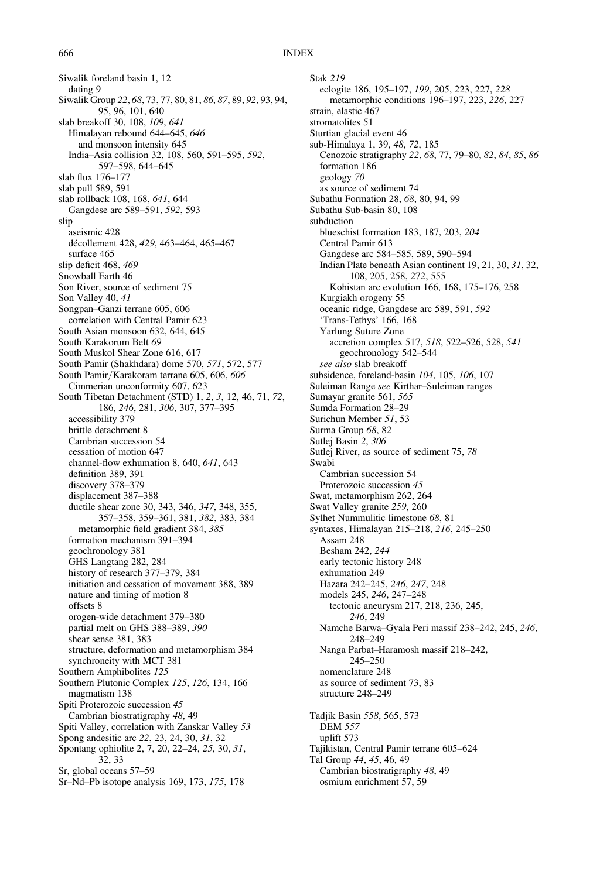Siwalik foreland basin 1, 12 dating 9 Siwalik Group 22, 68, 73, 77, 80, 81, 86, 87, 89, 92, 93, 94, 95, 96, 101, 640 slab breakoff 30, 108, 109, 641 Himalayan rebound 644–645, 646 and monsoon intensity 645 India–Asia collision 32, 108, 560, 591–595, 592, 597–598, 644–645 slab flux 176–177 slab pull 589, 591 slab rollback 108, 168, 641, 644 Gangdese arc 589–591, 592, 593 slip aseismic 428 décollement 428, 429, 463–464, 465–467 surface 465 slip deficit 468, 469 Snowball Earth 46 Son River, source of sediment 75 Son Valley 40, 41 Songpan–Ganzi terrane 605, 606 correlation with Central Pamir 623 South Asian monsoon 632, 644, 645 South Karakorum Belt 69 South Muskol Shear Zone 616, 617 South Pamir (Shakhdara) dome 570, 571, 572, 577 South Pamir/Karakoram terrane 605, 606, 606 Cimmerian unconformity 607, 623 South Tibetan Detachment (STD) 1, 2, 3, 12, 46, 71, 72, 186, 246, 281, 306, 307, 377–395 accessibility 379 brittle detachment 8 Cambrian succession 54 cessation of motion 647 channel-flow exhumation 8, 640, 641, 643 definition 389, 391 discovery 378–379 displacement 387–388 ductile shear zone 30, 343, 346, 347, 348, 355, 357–358, 359–361, 381, 382, 383, 384 metamorphic field gradient 384, 385 formation mechanism 391–394 geochronology 381 GHS Langtang 282, 284 history of research 377–379, 384 initiation and cessation of movement 388, 389 nature and timing of motion 8 offsets 8 orogen-wide detachment 379–380 partial melt on GHS 388–389, 390 shear sense 381, 383 structure, deformation and metamorphism 384 synchroneity with MCT 381 Southern Amphibolites 125 Southern Plutonic Complex 125, 126, 134, 166 magmatism 138 Spiti Proterozoic succession 45 Cambrian biostratigraphy 48, 49 Spiti Valley, correlation with Zanskar Valley 53 Spong andesitic arc 22, 23, 24, 30, 31, 32 Spontang ophiolite 2, 7, 20, 22–24, 25, 30, 31, 32, 33 Sr, global oceans 57–59 Sr–Nd–Pb isotope analysis 169, 173, 175, 178

Stak 219 eclogite 186, 195–197, 199, 205, 223, 227, 228 metamorphic conditions 196–197, 223, 226, 227 strain, elastic 467 stromatolites 51 Sturtian glacial event 46 sub-Himalaya 1, 39, 48, 72, 185 Cenozoic stratigraphy 22, 68, 77, 79–80, 82, 84, 85, 86 formation 186 geology 70 as source of sediment 74 Subathu Formation 28, 68, 80, 94, 99 Subathu Sub-basin 80, 108 subduction blueschist formation 183, 187, 203, 204 Central Pamir 613 Gangdese arc 584–585, 589, 590–594 Indian Plate beneath Asian continent 19, 21, 30, 31, 32, 108, 205, 258, 272, 555 Kohistan arc evolution 166, 168, 175–176, 258 Kurgiakh orogeny 55 oceanic ridge, Gangdese arc 589, 591, 592 'Trans-Tethys' 166, 168 Yarlung Suture Zone accretion complex 517, 518, 522–526, 528, 541 geochronology 542–544 see also slab breakoff subsidence, foreland-basin 104, 105, 106, 107 Suleiman Range see Kirthar–Suleiman ranges Sumayar granite 561, 565 Sumda Formation 28–29 Surichun Member 51, 53 Surma Group 68, 82 Sutlej Basin 2, 306 Sutlej River, as source of sediment 75, 78 Swabi Cambrian succession 54 Proterozoic succession 45 Swat, metamorphism 262, 264 Swat Valley granite 259, 260 Sylhet Nummulitic limestone 68, 81 syntaxes, Himalayan 215–218, 216, 245–250 Assam 248 Besham 242, 244 early tectonic history 248 exhumation 249 Hazara 242–245, 246, 247, 248 models 245, 246, 247–248 tectonic aneurysm 217, 218, 236, 245, 246, 249 Namche Barwa–Gyala Peri massif 238–242, 245, 246, 248–249 Nanga Parbat–Haramosh massif 218–242, 245–250 nomenclature 248 as source of sediment 73, 83 structure 248–249 Tadjik Basin 558, 565, 573 DEM 557 uplift 573 Tajikistan, Central Pamir terrane 605–624 Tal Group 44, 45, 46, 49 Cambrian biostratigraphy 48, 49 osmium enrichment 57, 59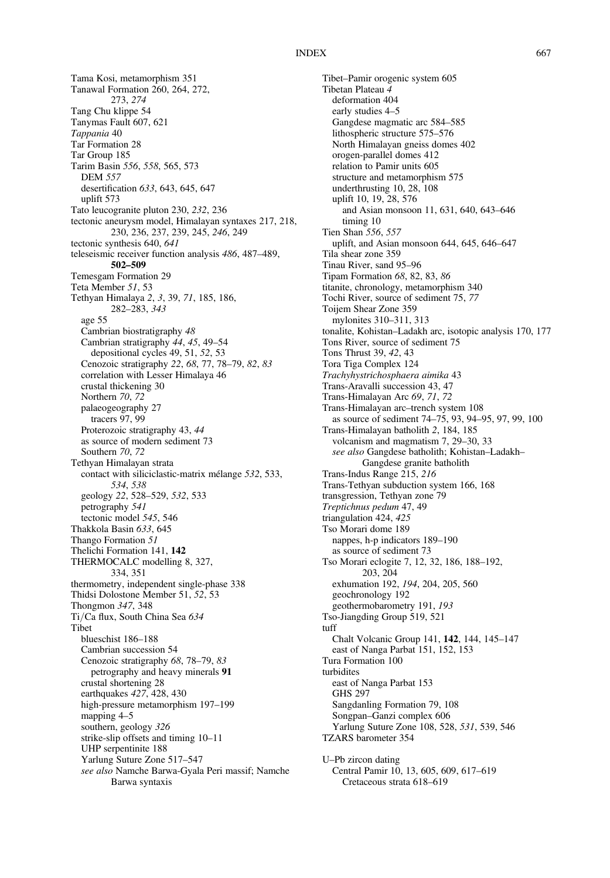Tama Kosi, metamorphism 351 Tanawal Formation 260, 264, 272, 273, 274 Tang Chu klippe 54 Tanymas Fault 607, 621 Tappania 40 Tar Formation 28 Tar Group 185 Tarim Basin 556, 558, 565, 573 DEM 557 desertification 633, 643, 645, 647 uplift 573 Tato leucogranite pluton 230, 232, 236 tectonic aneurysm model, Himalayan syntaxes 217, 218, 230, 236, 237, 239, 245, 246, 249 tectonic synthesis 640, 641 teleseismic receiver function analysis 486, 487–489, 502–509 Temesgam Formation 29 Teta Member 51, 53 Tethyan Himalaya 2, 3, 39, 71, 185, 186, 282–283, 343 age 55 Cambrian biostratigraphy 48 Cambrian stratigraphy 44, 45, 49–54 depositional cycles 49, 51, 52, 53 Cenozoic stratigraphy 22, 68, 77, 78–79, 82, 83 correlation with Lesser Himalaya 46 crustal thickening 30 Northern 70, 72 palaeogeography 27 tracers 97, 99 Proterozoic stratigraphy 43, 44 as source of modern sediment 73 Southern 70, 72 Tethyan Himalayan strata contact with siliciclastic-matrix mélange 532, 533, 534, 538 geology 22, 528–529, 532, 533 petrography 541 tectonic model 545, 546 Thakkola Basin 633, 645 Thango Formation 51 Thelichi Formation 141, 142 THERMOCALC modelling 8, 327, 334, 351 thermometry, independent single-phase 338 Thidsi Dolostone Member 51, 52, 53 Thongmon 347, 348 Ti/Ca flux, South China Sea 634 Tibet blueschist 186–188 Cambrian succession 54 Cenozoic stratigraphy 68, 78–79, 83 petrography and heavy minerals 91 crustal shortening 28 earthquakes 427, 428, 430 high-pressure metamorphism 197–199 mapping 4–5 southern, geology 326 strike-slip offsets and timing 10–11 UHP serpentinite 188 Yarlung Suture Zone 517–547 see also Namche Barwa-Gyala Peri massif; Namche Barwa syntaxis

Tibet–Pamir orogenic system 605 Tibetan Plateau 4 deformation 404 early studies 4–5 Gangdese magmatic arc 584–585 lithospheric structure 575–576 North Himalayan gneiss domes 402 orogen-parallel domes 412 relation to Pamir units 605 structure and metamorphism 575 underthrusting 10, 28, 108 uplift 10, 19, 28, 576 and Asian monsoon 11, 631, 640, 643–646 timing 10 Tien Shan 556, 557 uplift, and Asian monsoon 644, 645, 646–647 Tila shear zone 359 Tinau River, sand 95–96 Tipam Formation 68, 82, 83, 86 titanite, chronology, metamorphism 340 Tochi River, source of sediment 75, 77 Toijem Shear Zone 359 mylonites 310–311, 313 tonalite, Kohistan–Ladakh arc, isotopic analysis 170, 177 Tons River, source of sediment 75 Tons Thrust 39, 42, 43 Tora Tiga Complex 124 Trachyhystrichosphaera aimika 43 Trans-Aravalli succession 43, 47 Trans-Himalayan Arc 69, 71, 72 Trans-Himalayan arc–trench system 108 as source of sediment 74–75, 93, 94–95, 97, 99, 100 Trans-Himalayan batholith 2, 184, 185 volcanism and magmatism 7, 29–30, 33 see also Gangdese batholith; Kohistan–Ladakh– Gangdese granite batholith Trans-Indus Range 215, 216 Trans-Tethyan subduction system 166, 168 transgression, Tethyan zone 79 Treptichnus pedum 47, 49 triangulation 424, 425 Tso Morari dome 189 nappes, h-p indicators 189–190 as source of sediment 73 Tso Morari eclogite 7, 12, 32, 186, 188–192, 203, 204 exhumation 192, 194, 204, 205, 560 geochronology 192 geothermobarometry 191, 193 Tso-Jiangding Group 519, 521 tuff Chalt Volcanic Group 141, 142, 144, 145–147 east of Nanga Parbat 151, 152, 153 Tura Formation 100 turbidites east of Nanga Parbat 153 GHS 297 Sangdanling Formation 79, 108 Songpan–Ganzi complex 606 Yarlung Suture Zone 108, 528, 531, 539, 546 TZARS barometer 354 U–Pb zircon dating Central Pamir 10, 13, 605, 609, 617–619 Cretaceous strata 618–619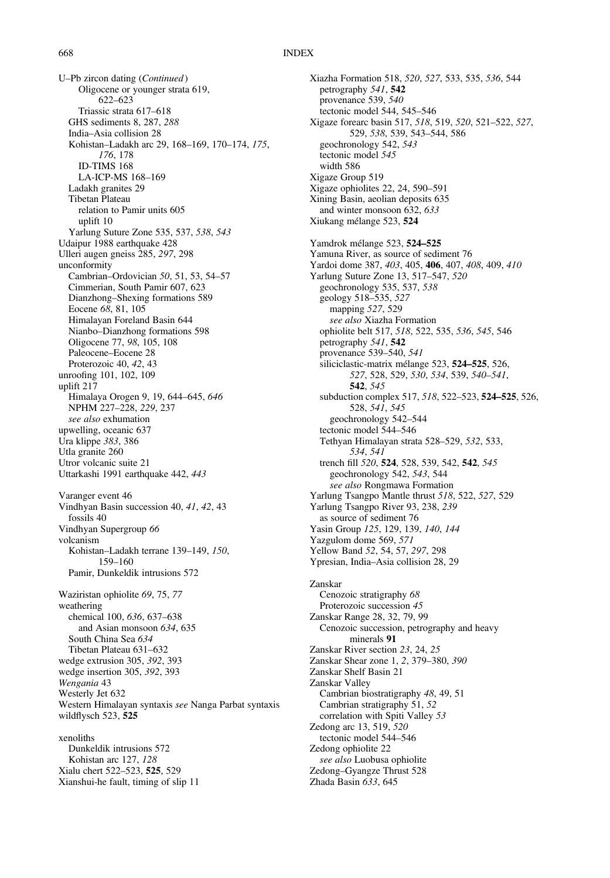U–Pb zircon dating (Continued) Oligocene or younger strata 619, 622–623 Triassic strata 617–618 GHS sediments 8, 287, 288 India–Asia collision 28 Kohistan–Ladakh arc 29, 168–169, 170–174, 175, 176, 178 ID-TIMS 168 LA-ICP-MS 168–169 Ladakh granites 29 Tibetan Plateau relation to Pamir units 605 uplift 10 Yarlung Suture Zone 535, 537, 538, 543 Udaipur 1988 earthquake 428 Ulleri augen gneiss 285, 297, 298 unconformity Cambrian–Ordovician 50, 51, 53, 54–57 Cimmerian, South Pamir 607, 623 Dianzhong–Shexing formations 589 Eocene 68, 81, 105 Himalayan Foreland Basin 644 Nianbo–Dianzhong formations 598 Oligocene 77, 98, 105, 108 Paleocene–Eocene 28 Proterozoic 40, 42, 43 unroofing 101, 102, 109 uplift 217 Himalaya Orogen 9, 19, 644–645, 646 NPHM 227–228, 229, 237 see also exhumation upwelling, oceanic 637 Ura klippe 383, 386 Utla granite 260 Utror volcanic suite 21 Uttarkashi 1991 earthquake 442, 443 Varanger event 46 Vindhyan Basin succession 40, 41, 42, 43 fossils 40 Vindhyan Supergroup 66 volcanism Kohistan–Ladakh terrane 139–149, 150, 159–160 Pamir, Dunkeldik intrusions 572 Waziristan ophiolite 69, 75, 77 weathering chemical 100, 636, 637–638 and Asian monsoon 634, 635 South China Sea 634 Tibetan Plateau 631–632 wedge extrusion 305, 392, 393 wedge insertion 305, 392, 393 Wengania 43 Westerly Jet 632 Western Himalayan syntaxis see Nanga Parbat syntaxis wildflysch 523, 525 xenoliths Dunkeldik intrusions 572 Kohistan arc 127, 128 Xialu chert 522–523, 525, 529

Xianshui-he fault, timing of slip 11

Xiazha Formation 518, 520, 527, 533, 535, 536, 544 petrography 541, 542 provenance 539, 540 tectonic model 544, 545–546 Xigaze forearc basin 517, 518, 519, 520, 521–522, 527, 529, 538, 539, 543–544, 586 geochronology 542, 543 tectonic model 545 width 586 Xigaze Group 519 Xigaze ophiolites 22, 24, 590–591 Xining Basin, aeolian deposits 635 and winter monsoon 632, 633 Xiukang mélange 523, 524 Yamdrok mélange 523, 524–525 Yamuna River, as source of sediment 76 Yardoi dome 387, 403, 405, 406, 407, 408, 409, 410 Yarlung Suture Zone 13, 517–547, 520 geochronology 535, 537, 538 geology 518–535, 527 mapping 527, 529 see also Xiazha Formation ophiolite belt 517, 518, 522, 535, 536, 545, 546 petrography 541, 542 provenance 539–540, 541 siliciclastic-matrix mélange 523, 524–525, 526, 527, 528, 529, 530, 534, 539, 540–541, 542, 545 subduction complex 517, 518, 522–523, 524–525, 526, 528, 541, 545 geochronology 542–544 tectonic model 544–546 Tethyan Himalayan strata 528–529, 532, 533, 534, 541 trench fill 520, 524, 528, 539, 542, 542, 545 geochronology 542, 543, 544 see also Rongmawa Formation Yarlung Tsangpo Mantle thrust 518, 522, 527, 529 Yarlung Tsangpo River 93, 238, 239 as source of sediment 76 Yasin Group 125, 129, 139, 140, 144 Yazgulom dome 569, 571 Yellow Band 52, 54, 57, 297, 298 Ypresian, India–Asia collision 28, 29 Zanskar Cenozoic stratigraphy 68 Proterozoic succession 45 Zanskar Range 28, 32, 79, 99 Cenozoic succession, petrography and heavy minerals 91 Zanskar River section 23, 24, 25 Zanskar Shear zone 1, 2, 379–380, 390 Zanskar Shelf Basin 21 Zanskar Valley Cambrian biostratigraphy 48, 49, 51 Cambrian stratigraphy 51, 52 correlation with Spiti Valley 53 Zedong arc 13, 519, 520 tectonic model 544–546 Zedong ophiolite 22 see also Luobusa ophiolite Zedong–Gyangze Thrust 528 Zhada Basin 633, 645